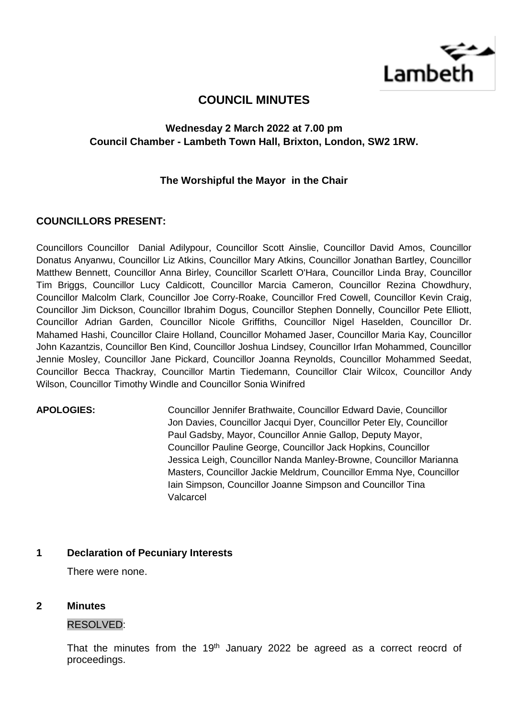

# **COUNCIL MINUTES**

# **Wednesday 2 March 2022 at 7.00 pm Council Chamber - Lambeth Town Hall, Brixton, London, SW2 1RW.**

# **The Worshipful the Mayor in the Chair**

## **COUNCILLORS PRESENT:**

Councillors Councillor Danial Adilypour, Councillor Scott Ainslie, Councillor David Amos, Councillor Donatus Anyanwu, Councillor Liz Atkins, Councillor Mary Atkins, Councillor Jonathan Bartley, Councillor Matthew Bennett, Councillor Anna Birley, Councillor Scarlett O'Hara, Councillor Linda Bray, Councillor Tim Briggs, Councillor Lucy Caldicott, Councillor Marcia Cameron, Councillor Rezina Chowdhury, Councillor Malcolm Clark, Councillor Joe Corry-Roake, Councillor Fred Cowell, Councillor Kevin Craig, Councillor Jim Dickson, Councillor Ibrahim Dogus, Councillor Stephen Donnelly, Councillor Pete Elliott, Councillor Adrian Garden, Councillor Nicole Griffiths, Councillor Nigel Haselden, Councillor Dr. Mahamed Hashi, Councillor Claire Holland, Councillor Mohamed Jaser, Councillor Maria Kay, Councillor John Kazantzis, Councillor Ben Kind, Councillor Joshua Lindsey, Councillor Irfan Mohammed, Councillor Jennie Mosley, Councillor Jane Pickard, Councillor Joanna Reynolds, Councillor Mohammed Seedat, Councillor Becca Thackray, Councillor Martin Tiedemann, Councillor Clair Wilcox, Councillor Andy Wilson, Councillor Timothy Windle and Councillor Sonia Winifred

**APOLOGIES:** Councillor Jennifer Brathwaite, Councillor Edward Davie, Councillor Jon Davies, Councillor Jacqui Dyer, Councillor Peter Ely, Councillor Paul Gadsby, Mayor, Councillor Annie Gallop, Deputy Mayor, Councillor Pauline George, Councillor Jack Hopkins, Councillor Jessica Leigh, Councillor Nanda Manley-Browne, Councillor Marianna Masters, Councillor Jackie Meldrum, Councillor Emma Nye, Councillor Iain Simpson, Councillor Joanne Simpson and Councillor Tina Valcarcel

### **1 Declaration of Pecuniary Interests**

There were none.

### **2 Minutes**

### RESOLVED:

That the minutes from the  $19<sup>th</sup>$  January 2022 be agreed as a correct reocrd of proceedings.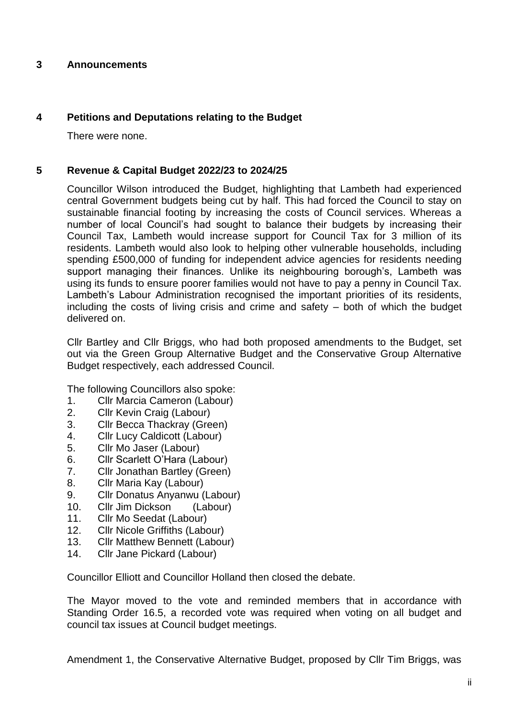# **3 Announcements**

# **4 Petitions and Deputations relating to the Budget**

There were none.

# **5 Revenue & Capital Budget 2022/23 to 2024/25**

Councillor Wilson introduced the Budget, highlighting that Lambeth had experienced central Government budgets being cut by half. This had forced the Council to stay on sustainable financial footing by increasing the costs of Council services. Whereas a number of local Council's had sought to balance their budgets by increasing their Council Tax, Lambeth would increase support for Council Tax for 3 million of its residents. Lambeth would also look to helping other vulnerable households, including spending £500,000 of funding for independent advice agencies for residents needing support managing their finances. Unlike its neighbouring borough's, Lambeth was using its funds to ensure poorer families would not have to pay a penny in Council Tax. Lambeth's Labour Administration recognised the important priorities of its residents, including the costs of living crisis and crime and safety – both of which the budget delivered on.

Cllr Bartley and Cllr Briggs, who had both proposed amendments to the Budget, set out via the Green Group Alternative Budget and the Conservative Group Alternative Budget respectively, each addressed Council.

The following Councillors also spoke:

- 1. Cllr Marcia Cameron (Labour)
- 2. Cllr Kevin Craig (Labour)
- 3. Cllr Becca Thackray (Green)
- 4. Cllr Lucy Caldicott (Labour)
- 5. Cllr Mo Jaser (Labour)
- 6. Cllr Scarlett O'Hara (Labour)
- 7. Cllr Jonathan Bartley (Green)
- 8. Cllr Maria Kay (Labour)
- 9. Cllr Donatus Anyanwu (Labour)
- 10. Cllr Jim Dickson (Labour)
- 11. Cllr Mo Seedat (Labour)
- 12. Cllr Nicole Griffiths (Labour)
- 13. Cllr Matthew Bennett (Labour)
- 14. Cllr Jane Pickard (Labour)

Councillor Elliott and Councillor Holland then closed the debate.

The Mayor moved to the vote and reminded members that in accordance with Standing Order 16.5, a recorded vote was required when voting on all budget and council tax issues at Council budget meetings.

Amendment 1, the Conservative Alternative Budget, proposed by Cllr Tim Briggs, was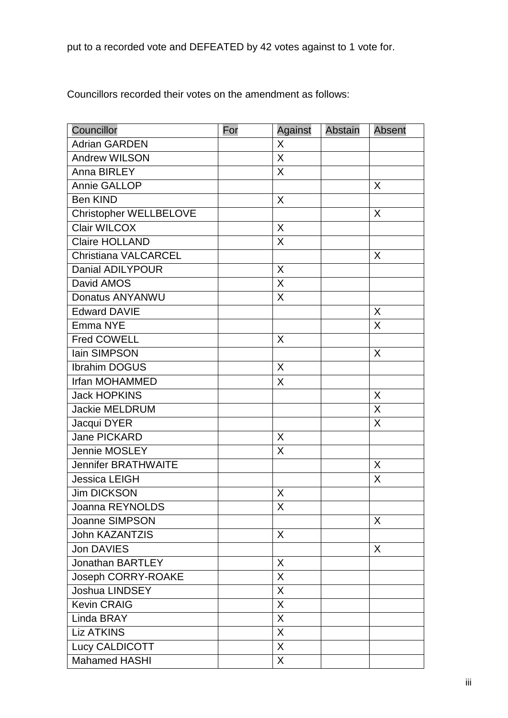put to a recorded vote and DEFEATED by 42 votes against to 1 vote for.

Councillors recorded their votes on the amendment as follows:

| Councillor                  | For | Against      | <b>Abstain</b> | <b>Absent</b> |
|-----------------------------|-----|--------------|----------------|---------------|
| <b>Adrian GARDEN</b>        |     | X            |                |               |
| <b>Andrew WILSON</b>        |     | X            |                |               |
| Anna BIRLEY                 |     | X            |                |               |
| Annie GALLOP                |     |              |                | X             |
| <b>Ben KIND</b>             |     | X            |                |               |
| Christopher WELLBELOVE      |     |              |                | X             |
| <b>Clair WILCOX</b>         |     | X            |                |               |
| <b>Claire HOLLAND</b>       |     | X            |                |               |
| <b>Christiana VALCARCEL</b> |     |              |                | X             |
| <b>Danial ADILYPOUR</b>     |     | X            |                |               |
| David AMOS                  |     | X            |                |               |
| Donatus ANYANWU             |     | X            |                |               |
| <b>Edward DAVIE</b>         |     |              |                | $\sf X$       |
| Emma NYE                    |     |              |                | $\sf X$       |
| <b>Fred COWELL</b>          |     | X            |                |               |
| lain SIMPSON                |     |              |                | X             |
| <b>Ibrahim DOGUS</b>        |     | X            |                |               |
| Irfan MOHAMMED              |     | X            |                |               |
| <b>Jack HOPKINS</b>         |     |              |                | X             |
| <b>Jackie MELDRUM</b>       |     |              |                | X             |
| Jacqui DYER                 |     |              |                | X             |
| Jane PICKARD                |     | X            |                |               |
| <b>Jennie MOSLEY</b>        |     | X            |                |               |
| <b>Jennifer BRATHWAITE</b>  |     |              |                | X             |
| <b>Jessica LEIGH</b>        |     |              |                | X             |
| <b>Jim DICKSON</b>          |     | X            |                |               |
| Joanna REYNOLDS             |     | X            |                |               |
| Joanne SIMPSON              |     |              |                | X             |
| <b>John KAZANTZIS</b>       |     | X            |                |               |
| <b>Jon DAVIES</b>           |     |              |                | $\sf X$       |
| <b>Jonathan BARTLEY</b>     |     | X            |                |               |
| Joseph CORRY-ROAKE          |     | X            |                |               |
| Joshua LINDSEY              |     | X            |                |               |
| <b>Kevin CRAIG</b>          |     | X            |                |               |
| Linda BRAY                  |     | X            |                |               |
| <b>Liz ATKINS</b>           |     | X            |                |               |
| Lucy CALDICOTT              |     | $\sf X$      |                |               |
| <b>Mahamed HASHI</b>        |     | $\mathsf{X}$ |                |               |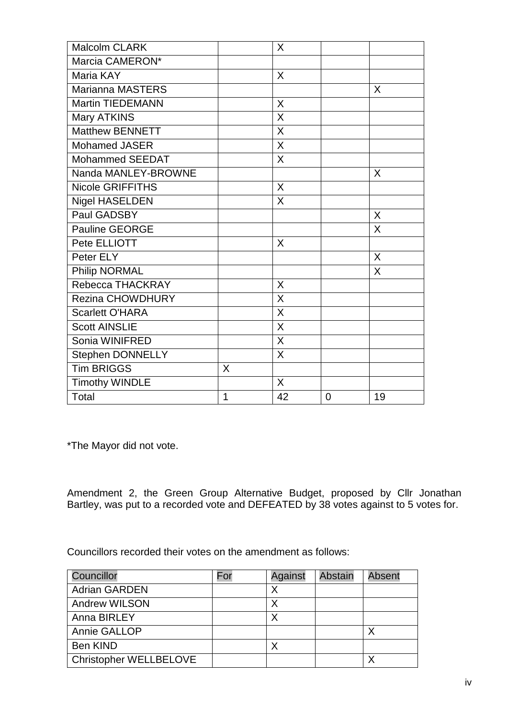| <b>Malcolm CLARK</b>    |    | X           |   |         |
|-------------------------|----|-------------|---|---------|
| Marcia CAMERON*         |    |             |   |         |
| Maria KAY               |    | X           |   |         |
| <b>Marianna MASTERS</b> |    |             |   | X       |
| <b>Martin TIEDEMANN</b> |    | $\mathsf X$ |   |         |
| <b>Mary ATKINS</b>      |    | X           |   |         |
| <b>Matthew BENNETT</b>  |    | X           |   |         |
| <b>Mohamed JASER</b>    |    | X           |   |         |
| <b>Mohammed SEEDAT</b>  |    | X           |   |         |
| Nanda MANLEY-BROWNE     |    |             |   | $\sf X$ |
| <b>Nicole GRIFFITHS</b> |    | X           |   |         |
| <b>Nigel HASELDEN</b>   |    | X           |   |         |
| Paul GADSBY             |    |             |   | $\sf X$ |
| <b>Pauline GEORGE</b>   |    |             |   | X       |
| Pete ELLIOTT            |    | X           |   |         |
| Peter ELY               |    |             |   | X       |
| Philip NORMAL           |    |             |   | X       |
| Rebecca THACKRAY        |    | X           |   |         |
| <b>Rezina CHOWDHURY</b> |    | X           |   |         |
| <b>Scarlett O'HARA</b>  |    | X           |   |         |
| <b>Scott AINSLIE</b>    |    | X           |   |         |
| Sonia WINIFRED          |    | $\times$    |   |         |
| Stephen DONNELLY        |    | X           |   |         |
| <b>Tim BRIGGS</b>       | X. |             |   |         |
| <b>Timothy WINDLE</b>   |    | X           |   |         |
| Total                   | 1  | 42          | 0 | 19      |

\*The Mayor did not vote.

Amendment 2, the Green Group Alternative Budget, proposed by Cllr Jonathan Bartley, was put to a recorded vote and DEFEATED by 38 votes against to 5 votes for.

Councillors recorded their votes on the amendment as follows:

| Councillor                    | For | Against | Abstain | <b>Absent</b> |
|-------------------------------|-----|---------|---------|---------------|
| <b>Adrian GARDEN</b>          |     | X       |         |               |
| <b>Andrew WILSON</b>          |     |         |         |               |
| Anna BIRLEY                   |     | Χ       |         |               |
| Annie GALLOP                  |     |         |         |               |
| Ben KIND                      |     | Χ       |         |               |
| <b>Christopher WELLBELOVE</b> |     |         |         | Y             |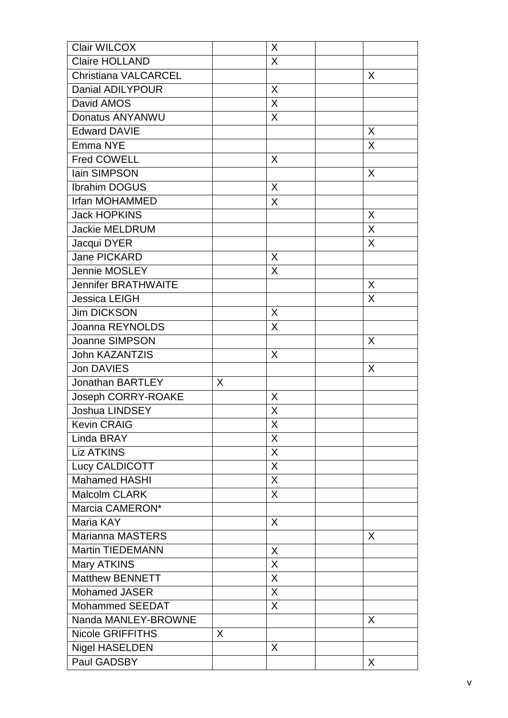| <b>Clair WILCOX</b>         |   | X       |   |
|-----------------------------|---|---------|---|
| <b>Claire HOLLAND</b>       |   | X       |   |
| <b>Christiana VALCARCEL</b> |   |         | X |
| <b>Danial ADILYPOUR</b>     |   | X       |   |
| David AMOS                  |   | X       |   |
| Donatus ANYANWU             |   | X       |   |
| <b>Edward DAVIE</b>         |   |         | X |
| Emma NYE                    |   |         | X |
| <b>Fred COWELL</b>          |   | X       |   |
| lain SIMPSON                |   |         | X |
| <b>Ibrahim DOGUS</b>        |   | X       |   |
| <b>Irfan MOHAMMED</b>       |   | X       |   |
| <b>Jack HOPKINS</b>         |   |         | X |
| <b>Jackie MELDRUM</b>       |   |         | X |
| Jacqui DYER                 |   |         | X |
| <b>Jane PICKARD</b>         |   | X       |   |
| <b>Jennie MOSLEY</b>        |   | X       |   |
| <b>Jennifer BRATHWAITE</b>  |   |         | X |
| Jessica LEIGH               |   |         | X |
| <b>Jim DICKSON</b>          |   | X       |   |
| Joanna REYNOLDS             |   | X       |   |
| <b>Joanne SIMPSON</b>       |   |         | X |
| <b>John KAZANTZIS</b>       |   | X       |   |
| <b>Jon DAVIES</b>           |   |         | X |
| <b>Jonathan BARTLEY</b>     | X |         |   |
| Joseph CORRY-ROAKE          |   | X       |   |
| <b>Joshua LINDSEY</b>       |   | Χ       |   |
| <b>Kevin CRAIG</b>          |   | $\sf X$ |   |
| Linda BRAY                  |   | X       |   |
| <b>Liz ATKINS</b>           |   | X       |   |
| Lucy CALDICOTT              |   | X       |   |
| <b>Mahamed HASHI</b>        |   | X       |   |
| <b>Malcolm CLARK</b>        |   | X       |   |
| Marcia CAMERON*             |   |         |   |
| Maria KAY                   |   | X       |   |
| <b>Marianna MASTERS</b>     |   |         | X |
| <b>Martin TIEDEMANN</b>     |   | X       |   |
| <b>Mary ATKINS</b>          |   | X       |   |
| <b>Matthew BENNETT</b>      |   | X       |   |
| <b>Mohamed JASER</b>        |   | X       |   |
| <b>Mohammed SEEDAT</b>      |   | X       |   |
| Nanda MANLEY-BROWNE         |   |         | X |
| <b>Nicole GRIFFITHS</b>     | X |         |   |
| <b>Nigel HASELDEN</b>       |   | X       |   |
| Paul GADSBY                 |   |         | X |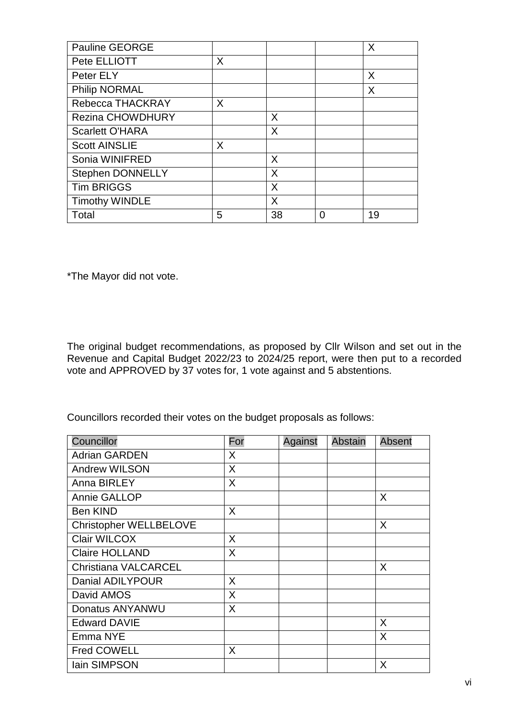| <b>Pauline GEORGE</b>   |   |    |   | X  |
|-------------------------|---|----|---|----|
| Pete ELLIOTT            | X |    |   |    |
| Peter ELY               |   |    |   | X  |
| <b>Philip NORMAL</b>    |   |    |   | X  |
| Rebecca THACKRAY        | X |    |   |    |
| <b>Rezina CHOWDHURY</b> |   | X  |   |    |
| <b>Scarlett O'HARA</b>  |   | X  |   |    |
| <b>Scott AINSLIE</b>    | X |    |   |    |
| Sonia WINIFRED          |   | X  |   |    |
| <b>Stephen DONNELLY</b> |   | X  |   |    |
| <b>Tim BRIGGS</b>       |   | X  |   |    |
| <b>Timothy WINDLE</b>   |   | X  |   |    |
| Total                   | 5 | 38 | 0 | 19 |

\*The Mayor did not vote.

The original budget recommendations, as proposed by Cllr Wilson and set out in the Revenue and Capital Budget 2022/23 to 2024/25 report, were then put to a recorded vote and APPROVED by 37 votes for, 1 vote against and 5 abstentions.

Councillors recorded their votes on the budget proposals as follows:

| Councillor                  | For          | Against | <b>Abstain</b> | Absent |
|-----------------------------|--------------|---------|----------------|--------|
| <b>Adrian GARDEN</b>        | X            |         |                |        |
| <b>Andrew WILSON</b>        | X            |         |                |        |
| Anna BIRLEY                 | X            |         |                |        |
| <b>Annie GALLOP</b>         |              |         |                | X      |
| <b>Ben KIND</b>             | X            |         |                |        |
| Christopher WELLBELOVE      |              |         |                | X      |
| Clair WILCOX                | X            |         |                |        |
| <b>Claire HOLLAND</b>       | X            |         |                |        |
| <b>Christiana VALCARCEL</b> |              |         |                | X      |
| Danial ADILYPOUR            | $\mathsf{X}$ |         |                |        |
| David AMOS                  | X            |         |                |        |
| Donatus ANYANWU             | X            |         |                |        |
| <b>Edward DAVIE</b>         |              |         |                | X      |
| Emma NYE                    |              |         |                | X      |
| <b>Fred COWELL</b>          | X            |         |                |        |
| lain SIMPSON                |              |         |                | X      |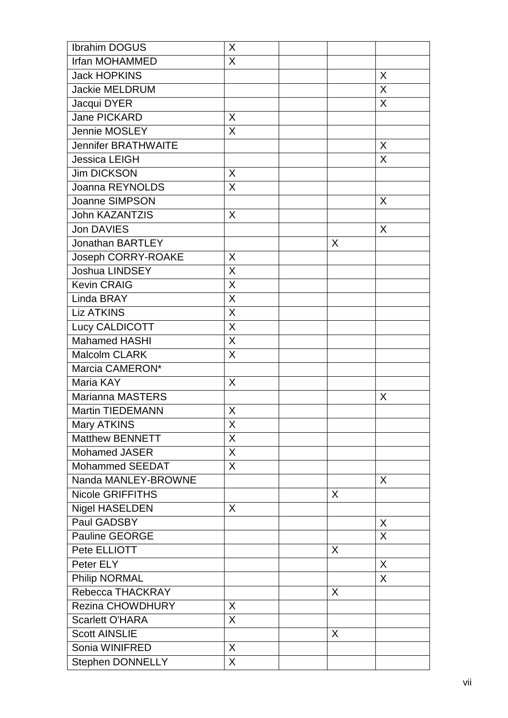| <b>Ibrahim DOGUS</b>       | X        |         |   |
|----------------------------|----------|---------|---|
| <b>Irfan MOHAMMED</b>      | X        |         |   |
| <b>Jack HOPKINS</b>        |          |         | X |
| <b>Jackie MELDRUM</b>      |          |         | X |
| Jacqui DYER                |          |         | X |
| <b>Jane PICKARD</b>        | X        |         |   |
| Jennie MOSLEY              | X        |         |   |
| <b>Jennifer BRATHWAITE</b> |          |         | X |
| <b>Jessica LEIGH</b>       |          |         | X |
| <b>Jim DICKSON</b>         | X        |         |   |
| Joanna REYNOLDS            | X        |         |   |
| <b>Joanne SIMPSON</b>      |          |         | X |
| John KAZANTZIS             | X        |         |   |
| <b>Jon DAVIES</b>          |          |         | X |
| <b>Jonathan BARTLEY</b>    |          | X       |   |
| Joseph CORRY-ROAKE         | X        |         |   |
| <b>Joshua LINDSEY</b>      | X        |         |   |
| <b>Kevin CRAIG</b>         | $\times$ |         |   |
| Linda BRAY                 | X        |         |   |
| <b>Liz ATKINS</b>          | X        |         |   |
| Lucy CALDICOTT             | $\sf X$  |         |   |
| <b>Mahamed HASHI</b>       | X        |         |   |
| Malcolm CLARK              | X        |         |   |
| Marcia CAMERON*            |          |         |   |
| Maria KAY                  | X        |         |   |
| <b>Marianna MASTERS</b>    |          |         | X |
| <b>Martin TIEDEMANN</b>    | X        |         |   |
| Mary ATKINS                | $\sf X$  |         |   |
| <b>Matthew BENNETT</b>     | X        |         |   |
| <b>Mohamed JASER</b>       | X        |         |   |
| <b>Mohammed SEEDAT</b>     | X        |         |   |
| Nanda MANLEY-BROWNE        |          |         | X |
| <b>Nicole GRIFFITHS</b>    |          | X       |   |
| <b>Nigel HASELDEN</b>      | X        |         |   |
| Paul GADSBY                |          |         | X |
| Pauline GEORGE             |          |         | X |
| Pete ELLIOTT               |          | X       |   |
| Peter ELY                  |          |         | X |
| <b>Philip NORMAL</b>       |          |         | X |
| Rebecca THACKRAY           |          | $\sf X$ |   |
| <b>Rezina CHOWDHURY</b>    | X        |         |   |
| <b>Scarlett O'HARA</b>     | X        |         |   |
| <b>Scott AINSLIE</b>       |          | X       |   |
| Sonia WINIFRED             | X        |         |   |
| Stephen DONNELLY           | X        |         |   |